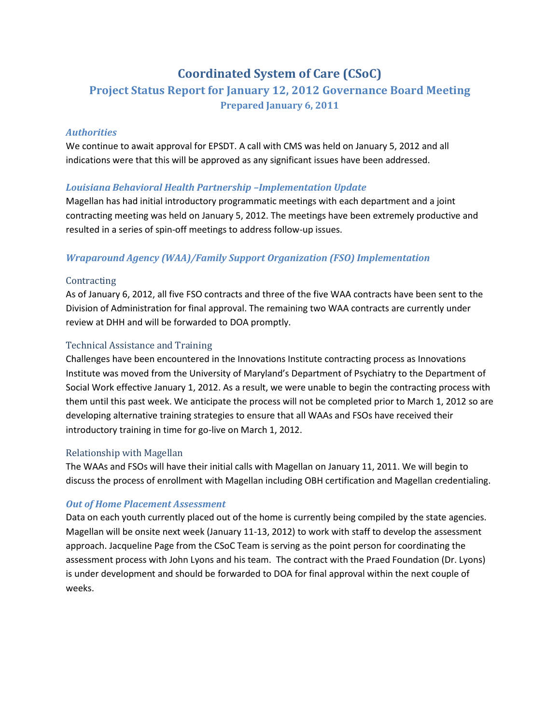# **Coordinated System of Care (CSoC)**

# **Project Status Report for January 12, 2012 Governance Board Meeting Prepared January 6, 2011**

## *Authorities!*

We continue to await approval for EPSDT. A call with CMS was held on January 5, 2012 and all indications were that this will be approved as any significant issues have been addressed.

# *Louisiana Behavioral Health Partnership -Implementation Update*

Magellan has had initial introductory programmatic meetings with each department and a joint contracting meeting was held on January 5, 2012. The meetings have been extremely productive and resulted in a series of spin-off meetings to address follow-up issues.

# *Wraparound!Agency!(WAA)/Family!Support!Organization!(FSO)!Implementation*

### Contracting\*

As of January 6, 2012, all five FSO contracts and three of the five WAA contracts have been sent to the Division of Administration for final approval. The remaining two WAA contracts are currently under review at DHH and will be forwarded to DOA promptly.

## Technical Assistance and Training

Challenges have been encountered in the Innovations Institute contracting process as Innovations Institute was moved from the University of Maryland's Department of Psychiatry to the Department of Social Work effective January 1, 2012. As a result, we were unable to begin the contracting process with them until this past week. We anticipate the process will not be completed prior to March 1, 2012 so are developing alternative training strategies to ensure that all WAAs and FSOs have received their introductory training in time for go-live on March 1, 2012.

### Relationship with Magellan

The WAAs and FSOs will have their initial calls with Magellan on January 11, 2011. We will begin to discuss the process of enrollment with Magellan including OBH certification and Magellan credentialing.

# *Out of Home Placement Assessment*

Data on each youth currently placed out of the home is currently being compiled by the state agencies. Magellan will be onsite next week (January 11-13, 2012) to work with staff to develop the assessment approach. Jacqueline Page from the CSoC Team is serving as the point person for coordinating the assessment process with John Lyons and his team. The contract with the Praed Foundation (Dr. Lyons) is under development and should be forwarded to DOA for final approval within the next couple of weeks.